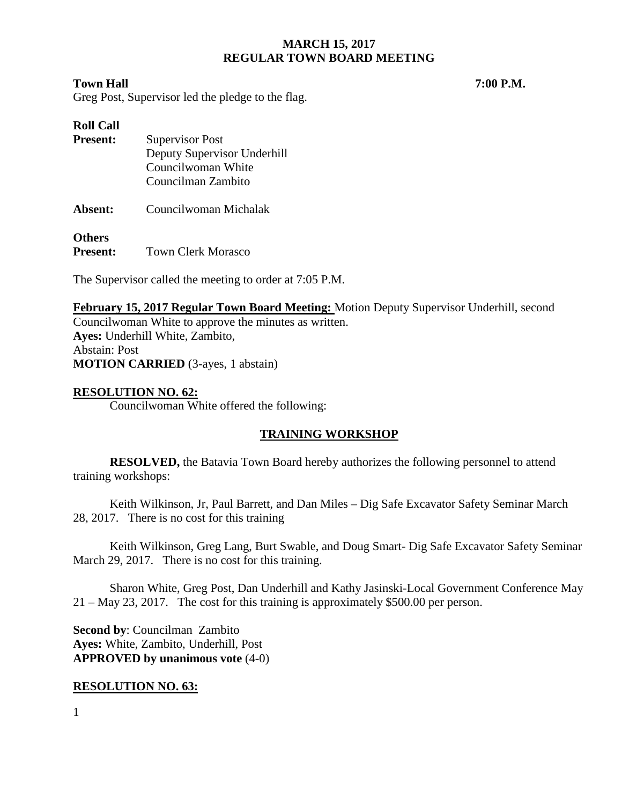#### **Town Hall 7:00 P.M.**

Greg Post, Supervisor led the pledge to the flag.

| <b>Roll Call</b> |                             |  |  |
|------------------|-----------------------------|--|--|
| <b>Present:</b>  | <b>Supervisor Post</b>      |  |  |
|                  | Deputy Supervisor Underhill |  |  |
|                  | Councilwoman White          |  |  |
|                  | Councilman Zambito          |  |  |
| Absent:          | Councilwoman Michalak       |  |  |

**Others**<br>**Present:** 

**Town Clerk Morasco** 

The Supervisor called the meeting to order at 7:05 P.M.

**February 15, 2017 Regular Town Board Meeting:** Motion Deputy Supervisor Underhill, second Councilwoman White to approve the minutes as written. **Ayes:** Underhill White, Zambito, Abstain: Post **MOTION CARRIED** (3-ayes, 1 abstain)

## **RESOLUTION NO. 62:**

Councilwoman White offered the following:

# **TRAINING WORKSHOP**

**RESOLVED,** the Batavia Town Board hereby authorizes the following personnel to attend training workshops:

Keith Wilkinson, Jr, Paul Barrett, and Dan Miles – Dig Safe Excavator Safety Seminar March 28, 2017. There is no cost for this training

Keith Wilkinson, Greg Lang, Burt Swable, and Doug Smart- Dig Safe Excavator Safety Seminar March 29, 2017. There is no cost for this training.

Sharon White, Greg Post, Dan Underhill and Kathy Jasinski-Local Government Conference May 21 – May 23, 2017. The cost for this training is approximately \$500.00 per person.

**Second by**: Councilman Zambito **Ayes:** White, Zambito, Underhill, Post **APPROVED by unanimous vote** (4-0)

## **RESOLUTION NO. 63:**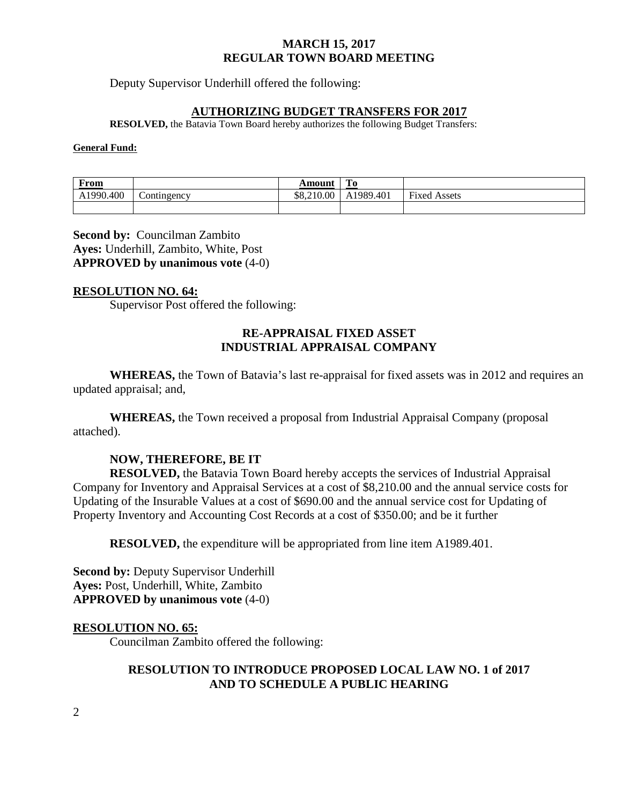Deputy Supervisor Underhill offered the following:

#### **AUTHORIZING BUDGET TRANSFERS FOR 2017**

**RESOLVED,** the Batavia Town Board hereby authorizes the following Budget Transfers:

#### **General Fund:**

| From      |                          | Amount     | <b>PER</b><br>T0. |                     |
|-----------|--------------------------|------------|-------------------|---------------------|
| A1990.400 | $\mathcal{L}$ ontingency | \$8,210.00 | A1989.401         | <b>Fixed Assets</b> |
|           |                          |            |                   |                     |

**Second by:** Councilman Zambito **Ayes:** Underhill, Zambito, White, Post **APPROVED by unanimous vote** (4-0)

#### **RESOLUTION NO. 64:**

Supervisor Post offered the following:

## **RE-APPRAISAL FIXED ASSET INDUSTRIAL APPRAISAL COMPANY**

**WHEREAS,** the Town of Batavia's last re-appraisal for fixed assets was in 2012 and requires an updated appraisal; and,

**WHEREAS,** the Town received a proposal from Industrial Appraisal Company (proposal attached).

## **NOW, THEREFORE, BE IT**

**RESOLVED,** the Batavia Town Board hereby accepts the services of Industrial Appraisal Company for Inventory and Appraisal Services at a cost of \$8,210.00 and the annual service costs for Updating of the Insurable Values at a cost of \$690.00 and the annual service cost for Updating of Property Inventory and Accounting Cost Records at a cost of \$350.00; and be it further

**RESOLVED,** the expenditure will be appropriated from line item A1989.401.

**Second by: Deputy Supervisor Underhill Ayes:** Post, Underhill, White, Zambito **APPROVED by unanimous vote** (4-0)

## **RESOLUTION NO. 65:**

Councilman Zambito offered the following:

## **RESOLUTION TO INTRODUCE PROPOSED LOCAL LAW NO. 1 of 2017 AND TO SCHEDULE A PUBLIC HEARING**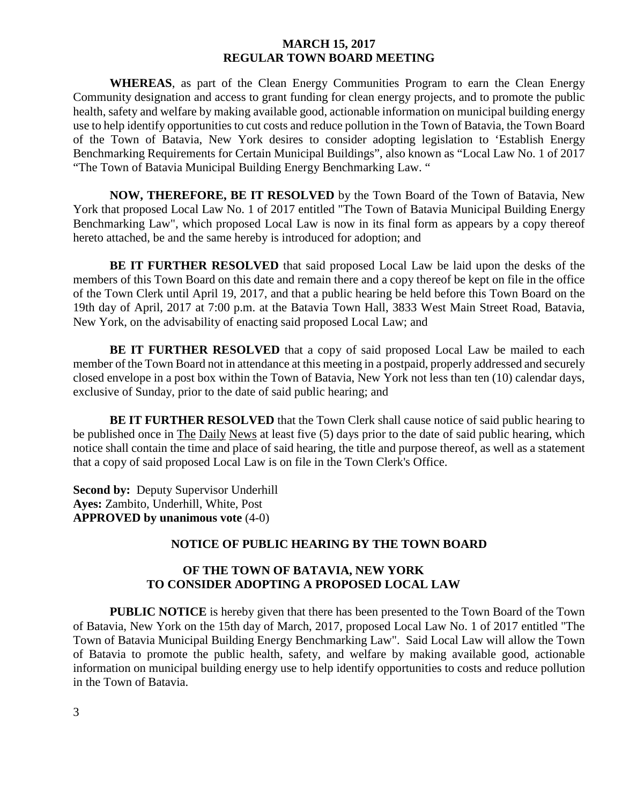**WHEREAS**, as part of the Clean Energy Communities Program to earn the Clean Energy Community designation and access to grant funding for clean energy projects, and to promote the public health, safety and welfare by making available good, actionable information on municipal building energy use to help identify opportunities to cut costs and reduce pollution in the Town of Batavia, the Town Board of the Town of Batavia, New York desires to consider adopting legislation to 'Establish Energy Benchmarking Requirements for Certain Municipal Buildings", also known as "Local Law No. 1 of 2017 "The Town of Batavia Municipal Building Energy Benchmarking Law. "

**NOW, THEREFORE, BE IT RESOLVED** by the Town Board of the Town of Batavia, New York that proposed Local Law No. 1 of 2017 entitled "The Town of Batavia Municipal Building Energy Benchmarking Law", which proposed Local Law is now in its final form as appears by a copy thereof hereto attached, be and the same hereby is introduced for adoption; and

**BE IT FURTHER RESOLVED** that said proposed Local Law be laid upon the desks of the members of this Town Board on this date and remain there and a copy thereof be kept on file in the office of the Town Clerk until April 19, 2017, and that a public hearing be held before this Town Board on the 19th day of April, 2017 at 7:00 p.m. at the Batavia Town Hall, 3833 West Main Street Road, Batavia, New York, on the advisability of enacting said proposed Local Law; and

**BE IT FURTHER RESOLVED** that a copy of said proposed Local Law be mailed to each member of the Town Board not in attendance at this meeting in a postpaid, properly addressed and securely closed envelope in a post box within the Town of Batavia, New York not less than ten (10) calendar days, exclusive of Sunday, prior to the date of said public hearing; and

**BE IT FURTHER RESOLVED** that the Town Clerk shall cause notice of said public hearing to be published once in The Daily News at least five (5) days prior to the date of said public hearing, which notice shall contain the time and place of said hearing, the title and purpose thereof, as well as a statement that a copy of said proposed Local Law is on file in the Town Clerk's Office.

**Second by: Deputy Supervisor Underhill Ayes:** Zambito, Underhill, White, Post **APPROVED by unanimous vote** (4-0)

## **NOTICE OF PUBLIC HEARING BY THE TOWN BOARD**

# **OF THE TOWN OF BATAVIA, NEW YORK TO CONSIDER ADOPTING A PROPOSED LOCAL LAW**

**PUBLIC NOTICE** is hereby given that there has been presented to the Town Board of the Town of Batavia, New York on the 15th day of March, 2017, proposed Local Law No. 1 of 2017 entitled "The Town of Batavia Municipal Building Energy Benchmarking Law". Said Local Law will allow the Town of Batavia to promote the public health, safety, and welfare by making available good, actionable information on municipal building energy use to help identify opportunities to costs and reduce pollution in the Town of Batavia.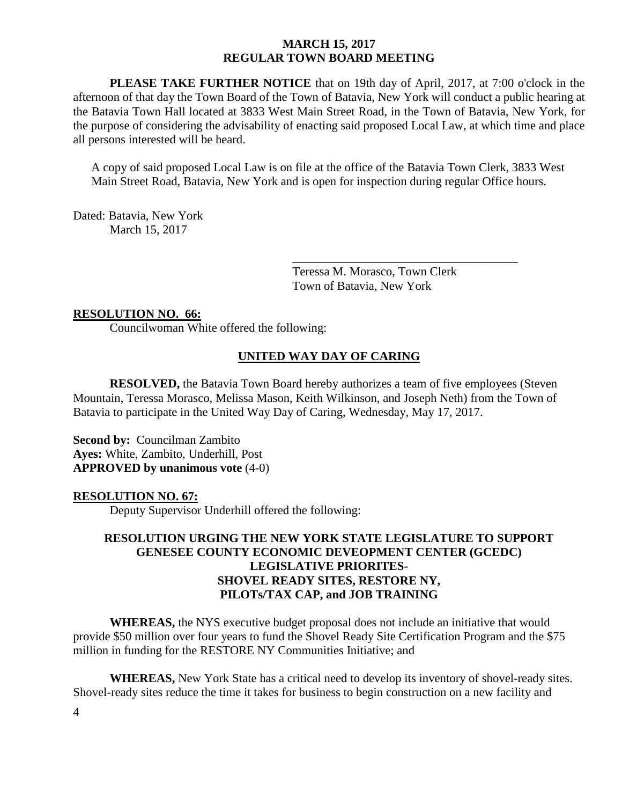**PLEASE TAKE FURTHER NOTICE** that on 19th day of April, 2017, at 7:00 o'clock in the afternoon of that day the Town Board of the Town of Batavia, New York will conduct a public hearing at the Batavia Town Hall located at 3833 West Main Street Road, in the Town of Batavia, New York, for the purpose of considering the advisability of enacting said proposed Local Law, at which time and place all persons interested will be heard.

A copy of said proposed Local Law is on file at the office of the Batavia Town Clerk, 3833 West Main Street Road, Batavia, New York and is open for inspection during regular Office hours.

Dated: Batavia, New York March 15, 2017

> Teressa M. Morasco, Town Clerk Town of Batavia, New York

\_\_\_\_\_\_\_\_\_\_\_\_\_\_\_\_\_\_\_\_\_\_\_\_\_\_\_\_\_\_\_\_\_\_\_\_\_

#### **RESOLUTION NO. 66:**

Councilwoman White offered the following:

## **UNITED WAY DAY OF CARING**

**RESOLVED,** the Batavia Town Board hereby authorizes a team of five employees (Steven Mountain, Teressa Morasco, Melissa Mason, Keith Wilkinson, and Joseph Neth) from the Town of Batavia to participate in the United Way Day of Caring, Wednesday, May 17, 2017.

**Second by: Councilman Zambito Ayes:** White, Zambito, Underhill, Post **APPROVED by unanimous vote** (4-0)

#### **RESOLUTION NO. 67:**

Deputy Supervisor Underhill offered the following:

## **RESOLUTION URGING THE NEW YORK STATE LEGISLATURE TO SUPPORT GENESEE COUNTY ECONOMIC DEVEOPMENT CENTER (GCEDC) LEGISLATIVE PRIORITES-SHOVEL READY SITES, RESTORE NY, PILOTs/TAX CAP, and JOB TRAINING**

**WHEREAS,** the NYS executive budget proposal does not include an initiative that would provide \$50 million over four years to fund the Shovel Ready Site Certification Program and the \$75 million in funding for the RESTORE NY Communities Initiative; and

**WHEREAS,** New York State has a critical need to develop its inventory of shovel-ready sites. Shovel-ready sites reduce the time it takes for business to begin construction on a new facility and

4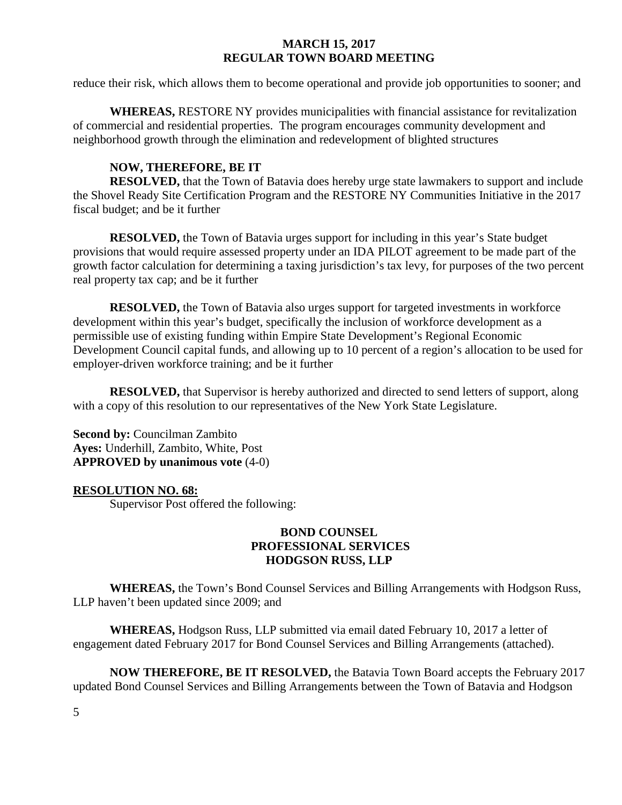reduce their risk, which allows them to become operational and provide job opportunities to sooner; and

**WHEREAS,** RESTORE NY provides municipalities with financial assistance for revitalization of commercial and residential properties. The program encourages community development and neighborhood growth through the elimination and redevelopment of blighted structures

## **NOW, THEREFORE, BE IT**

**RESOLVED,** that the Town of Batavia does hereby urge state lawmakers to support and include the Shovel Ready Site Certification Program and the RESTORE NY Communities Initiative in the 2017 fiscal budget; and be it further

**RESOLVED,** the Town of Batavia urges support for including in this year's State budget provisions that would require assessed property under an IDA PILOT agreement to be made part of the growth factor calculation for determining a taxing jurisdiction's tax levy, for purposes of the two percent real property tax cap; and be it further

**RESOLVED,** the Town of Batavia also urges support for targeted investments in workforce development within this year's budget, specifically the inclusion of workforce development as a permissible use of existing funding within Empire State Development's Regional Economic Development Council capital funds, and allowing up to 10 percent of a region's allocation to be used for employer-driven workforce training; and be it further

**RESOLVED,** that Supervisor is hereby authorized and directed to send letters of support, along with a copy of this resolution to our representatives of the New York State Legislature.

**Second by:** Councilman Zambito **Ayes:** Underhill, Zambito, White, Post **APPROVED by unanimous vote** (4-0)

## **RESOLUTION NO. 68:**

Supervisor Post offered the following:

## **BOND COUNSEL PROFESSIONAL SERVICES HODGSON RUSS, LLP**

**WHEREAS,** the Town's Bond Counsel Services and Billing Arrangements with Hodgson Russ, LLP haven't been updated since 2009; and

**WHEREAS,** Hodgson Russ, LLP submitted via email dated February 10, 2017 a letter of engagement dated February 2017 for Bond Counsel Services and Billing Arrangements (attached).

**NOW THEREFORE, BE IT RESOLVED,** the Batavia Town Board accepts the February 2017 updated Bond Counsel Services and Billing Arrangements between the Town of Batavia and Hodgson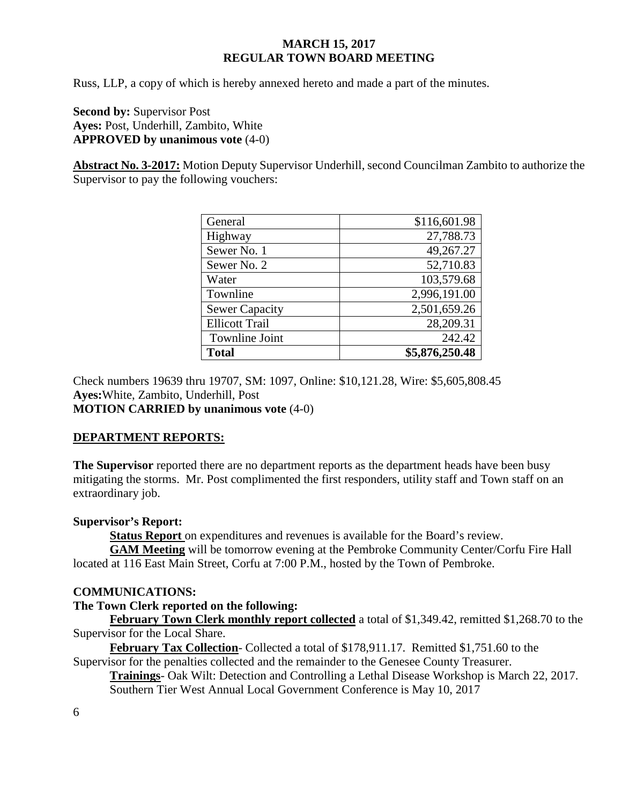Russ, LLP, a copy of which is hereby annexed hereto and made a part of the minutes.

**Second by:** Supervisor Post **Ayes:** Post, Underhill, Zambito, White **APPROVED by unanimous vote** (4-0)

**Abstract No. 3-2017:** Motion Deputy Supervisor Underhill, second Councilman Zambito to authorize the Supervisor to pay the following vouchers:

| General               | \$116,601.98   |
|-----------------------|----------------|
| Highway               | 27,788.73      |
| Sewer No. 1           | 49,267.27      |
| Sewer No. 2           | 52,710.83      |
| Water                 | 103,579.68     |
| Townline              | 2,996,191.00   |
| <b>Sewer Capacity</b> | 2,501,659.26   |
| <b>Ellicott Trail</b> | 28,209.31      |
| <b>Townline Joint</b> | 242.42         |
| <b>Total</b>          | \$5,876,250.48 |

Check numbers 19639 thru 19707, SM: 1097, Online: \$10,121.28, Wire: \$5,605,808.45 **Ayes:**White, Zambito, Underhill, Post **MOTION CARRIED by unanimous vote** (4-0)

# **DEPARTMENT REPORTS:**

**The Supervisor** reported there are no department reports as the department heads have been busy mitigating the storms. Mr. Post complimented the first responders, utility staff and Town staff on an extraordinary job.

## **Supervisor's Report:**

**Status Report** on expenditures and revenues is available for the Board's review.

**GAM Meeting** will be tomorrow evening at the Pembroke Community Center/Corfu Fire Hall located at 116 East Main Street, Corfu at 7:00 P.M., hosted by the Town of Pembroke.

## **COMMUNICATIONS:**

## **The Town Clerk reported on the following:**

**February Town Clerk monthly report collected** a total of \$1,349.42, remitted \$1,268.70 to the Supervisor for the Local Share.

**February Tax Collection**- Collected a total of \$178,911.17. Remitted \$1,751.60 to the Supervisor for the penalties collected and the remainder to the Genesee County Treasurer.

**Trainings**- Oak Wilt: Detection and Controlling a Lethal Disease Workshop is March 22, 2017. Southern Tier West Annual Local Government Conference is May 10, 2017